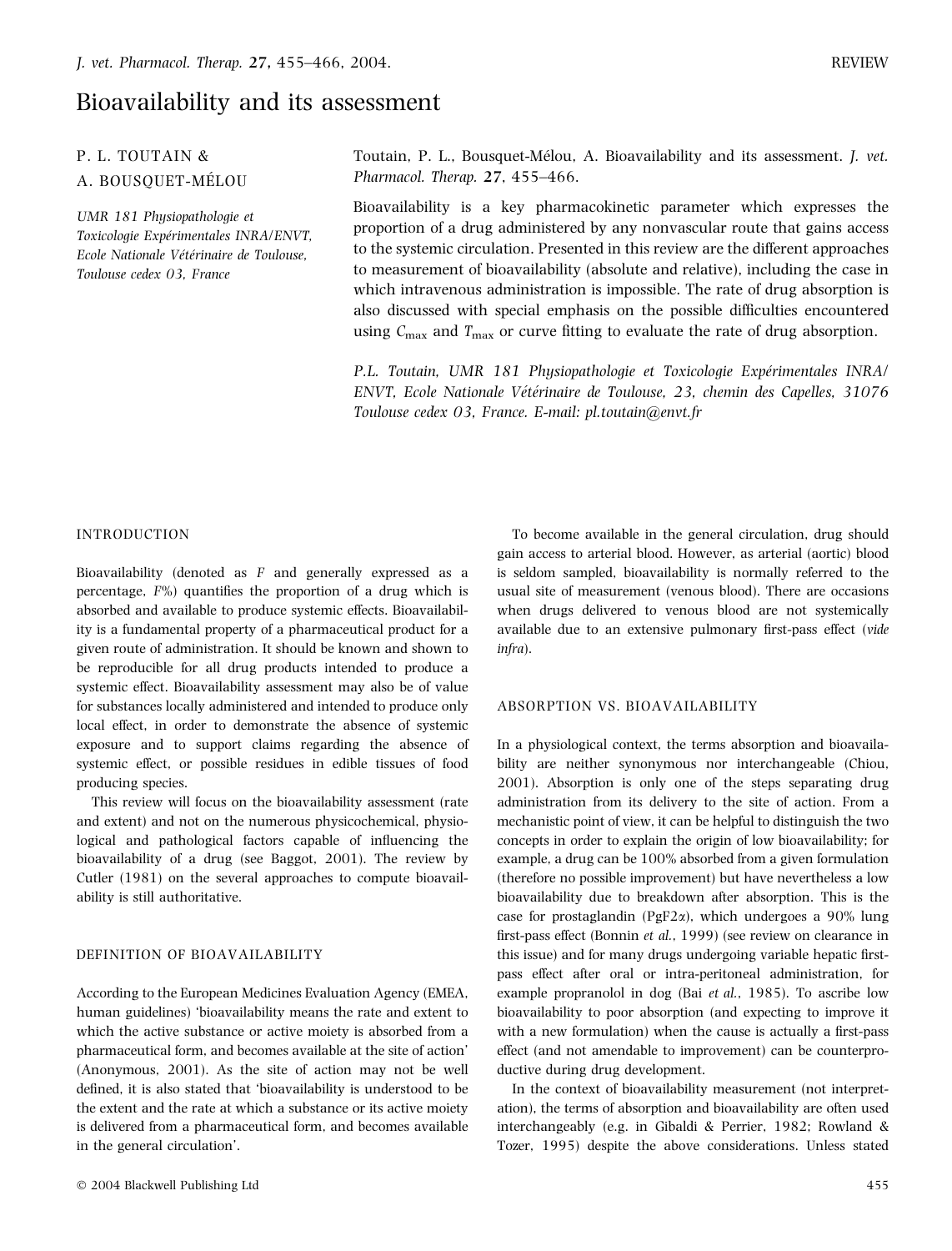# Bioavailability and its assessment

# P. L. TOUTAIN &

A. BOUSQUET-MÉLOU

UMR 181 Physiopathologie et Toxicologie Expérimentales INRA/ENVT, Ecole Nationale Vétérinaire de Toulouse, Toulouse cedex 03, France

Toutain, P. L., Bousquet-Mélou, A. Bioavailability and its assessment. J. vet. Pharmacol. Therap. 27, 455–466.

Bioavailability is a key pharmacokinetic parameter which expresses the proportion of a drug administered by any nonvascular route that gains access to the systemic circulation. Presented in this review are the different approaches to measurement of bioavailability (absolute and relative), including the case in which intravenous administration is impossible. The rate of drug absorption is also discussed with special emphasis on the possible difficulties encountered using  $C_{\text{max}}$  and  $T_{\text{max}}$  or curve fitting to evaluate the rate of drug absorption.

P.L. Toutain, UMR 181 Physiopathologie et Toxicologie Expérimentales INRA/ ENVT, Ecole Nationale Vétérinaire de Toulouse, 23, chemin des Capelles, 31076 Toulouse cedex 03, France. E-mail: pl.toutain@envt.fr

# INTRODUCTION

Bioavailability (denoted as  $F$  and generally expressed as a percentage,  $F\%$  quantifies the proportion of a drug which is absorbed and available to produce systemic effects. Bioavailability is a fundamental property of a pharmaceutical product for a given route of administration. It should be known and shown to be reproducible for all drug products intended to produce a systemic effect. Bioavailability assessment may also be of value for substances locally administered and intended to produce only local effect, in order to demonstrate the absence of systemic exposure and to support claims regarding the absence of systemic effect, or possible residues in edible tissues of food producing species.

This review will focus on the bioavailability assessment (rate and extent) and not on the numerous physicochemical, physiological and pathological factors capable of influencing the bioavailability of a drug (see Baggot, 2001). The review by Cutler (1981) on the several approaches to compute bioavailability is still authoritative.

### DEFINITION OF BIOAVAILABILITY

According to the European Medicines Evaluation Agency (EMEA, human guidelines) 'bioavailability means the rate and extent to which the active substance or active moiety is absorbed from a pharmaceutical form, and becomes available at the site of action' (Anonymous, 2001). As the site of action may not be well defined, it is also stated that 'bioavailability is understood to be the extent and the rate at which a substance or its active moiety is delivered from a pharmaceutical form, and becomes available in the general circulation'.

To become available in the general circulation, drug should gain access to arterial blood. However, as arterial (aortic) blood is seldom sampled, bioavailability is normally referred to the usual site of measurement (venous blood). There are occasions when drugs delivered to venous blood are not systemically available due to an extensive pulmonary first-pass effect (vide infra).

## ABSORPTION VS. BIOAVAILABILITY

In a physiological context, the terms absorption and bioavailability are neither synonymous nor interchangeable (Chiou, 2001). Absorption is only one of the steps separating drug administration from its delivery to the site of action. From a mechanistic point of view, it can be helpful to distinguish the two concepts in order to explain the origin of low bioavailability; for example, a drug can be 100% absorbed from a given formulation (therefore no possible improvement) but have nevertheless a low bioavailability due to breakdown after absorption. This is the case for prostaglandin (PgF2 $\alpha$ ), which undergoes a 90% lung first-pass effect (Bonnin et al., 1999) (see review on clearance in this issue) and for many drugs undergoing variable hepatic firstpass effect after oral or intra-peritoneal administration, for example propranolol in dog (Bai et al., 1985). To ascribe low bioavailability to poor absorption (and expecting to improve it with a new formulation) when the cause is actually a first-pass effect (and not amendable to improvement) can be counterproductive during drug development.

In the context of bioavailability measurement (not interpretation), the terms of absorption and bioavailability are often used interchangeably (e.g. in Gibaldi & Perrier, 1982; Rowland & Tozer, 1995) despite the above considerations. Unless stated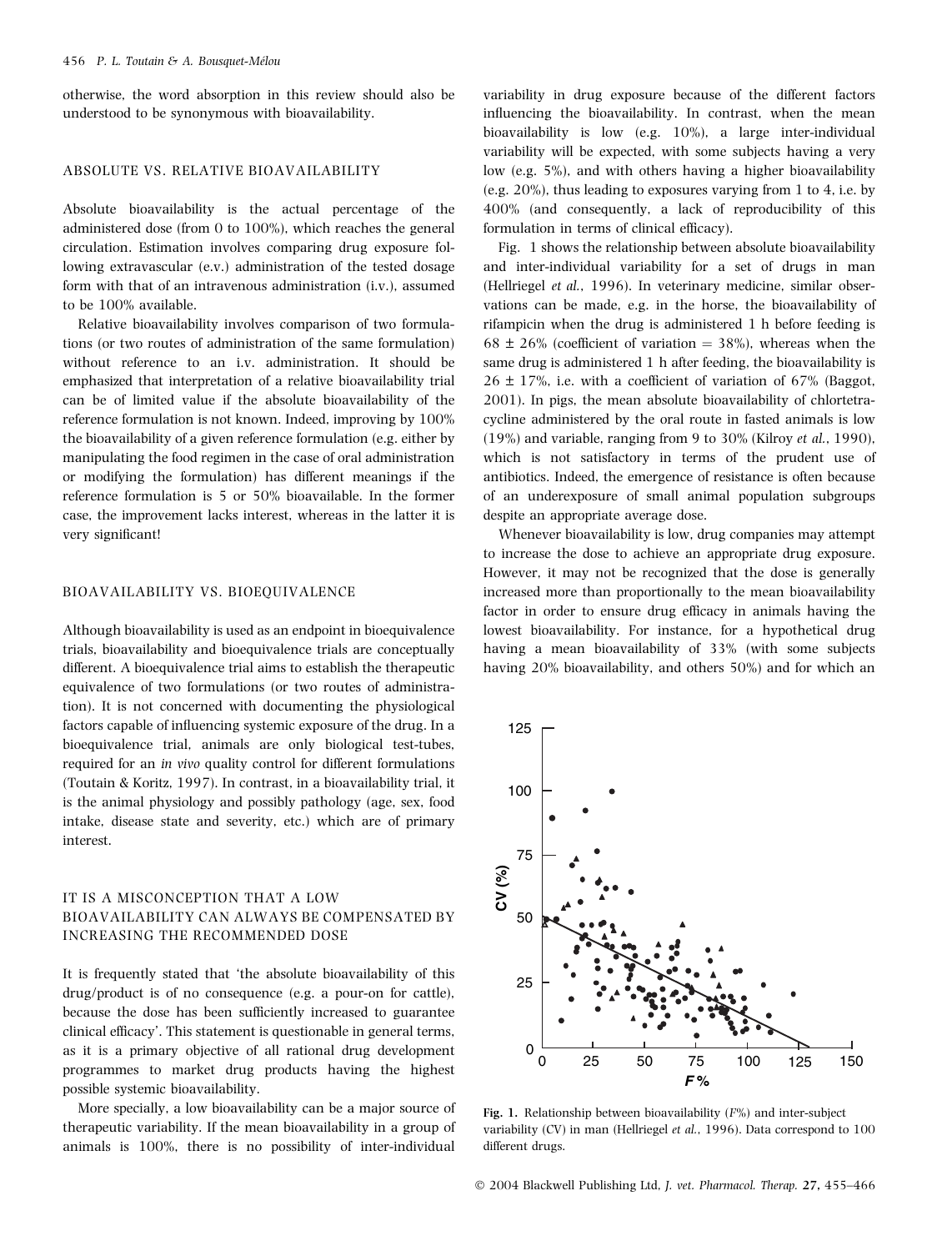otherwise, the word absorption in this review should also be understood to be synonymous with bioavailability.

### ABSOLUTE VS. RELATIVE BIOAVAILABILITY

Absolute bioavailability is the actual percentage of the administered dose (from 0 to 100%), which reaches the general circulation. Estimation involves comparing drug exposure following extravascular (e.v.) administration of the tested dosage form with that of an intravenous administration (i.v.), assumed to be 100% available.

Relative bioavailability involves comparison of two formulations (or two routes of administration of the same formulation) without reference to an i.v. administration. It should be emphasized that interpretation of a relative bioavailability trial can be of limited value if the absolute bioavailability of the reference formulation is not known. Indeed, improving by 100% the bioavailability of a given reference formulation (e.g. either by manipulating the food regimen in the case of oral administration or modifying the formulation) has different meanings if the reference formulation is 5 or 50% bioavailable. In the former case, the improvement lacks interest, whereas in the latter it is very significant!

#### BIOAVAILABILITY VS. BIOEQUIVALENCE

Although bioavailability is used as an endpoint in bioequivalence trials, bioavailability and bioequivalence trials are conceptually different. A bioequivalence trial aims to establish the therapeutic equivalence of two formulations (or two routes of administration). It is not concerned with documenting the physiological factors capable of influencing systemic exposure of the drug. In a bioequivalence trial, animals are only biological test-tubes, required for an in vivo quality control for different formulations (Toutain & Koritz, 1997). In contrast, in a bioavailability trial, it is the animal physiology and possibly pathology (age, sex, food intake, disease state and severity, etc.) which are of primary interest.

# IT IS A MISCONCEPTION THAT A LOW BIOAVAILABILITY CAN ALWAYS BE COMPENSATED BY INCREASING THE RECOMMENDED DOSE

It is frequently stated that 'the absolute bioavailability of this drug/product is of no consequence (e.g. a pour-on for cattle), because the dose has been sufficiently increased to guarantee clinical efficacy'. This statement is questionable in general terms, as it is a primary objective of all rational drug development programmes to market drug products having the highest possible systemic bioavailability.

More specially, a low bioavailability can be a major source of therapeutic variability. If the mean bioavailability in a group of animals is 100%, there is no possibility of inter-individual

variability in drug exposure because of the different factors influencing the bioavailability. In contrast, when the mean bioavailability is low (e.g. 10%), a large inter-individual variability will be expected, with some subjects having a very low (e.g. 5%), and with others having a higher bioavailability (e.g. 20%), thus leading to exposures varying from 1 to 4, i.e. by 400% (and consequently, a lack of reproducibility of this formulation in terms of clinical efficacy).

Fig. 1 shows the relationship between absolute bioavailability and inter-individual variability for a set of drugs in man (Hellriegel et al., 1996). In veterinary medicine, similar observations can be made, e.g. in the horse, the bioavailability of rifampicin when the drug is administered 1 h before feeding is  $68 \pm 26\%$  (coefficient of variation = 38%), whereas when the same drug is administered 1 h after feeding, the bioavailability is  $26 \pm 17$ %, i.e. with a coefficient of variation of 67% (Baggot, 2001). In pigs, the mean absolute bioavailability of chlortetracycline administered by the oral route in fasted animals is low (19%) and variable, ranging from 9 to 30% (Kilroy et al., 1990), which is not satisfactory in terms of the prudent use of antibiotics. Indeed, the emergence of resistance is often because of an underexposure of small animal population subgroups despite an appropriate average dose.

Whenever bioavailability is low, drug companies may attempt to increase the dose to achieve an appropriate drug exposure. However, it may not be recognized that the dose is generally increased more than proportionally to the mean bioavailability factor in order to ensure drug efficacy in animals having the lowest bioavailability. For instance, for a hypothetical drug having a mean bioavailability of 33% (with some subjects having 20% bioavailability, and others 50%) and for which an



Fig. 1. Relationship between bioavailability  $(F%)$  and inter-subject variability (CV) in man (Hellriegel et al., 1996). Data correspond to 100 different drugs.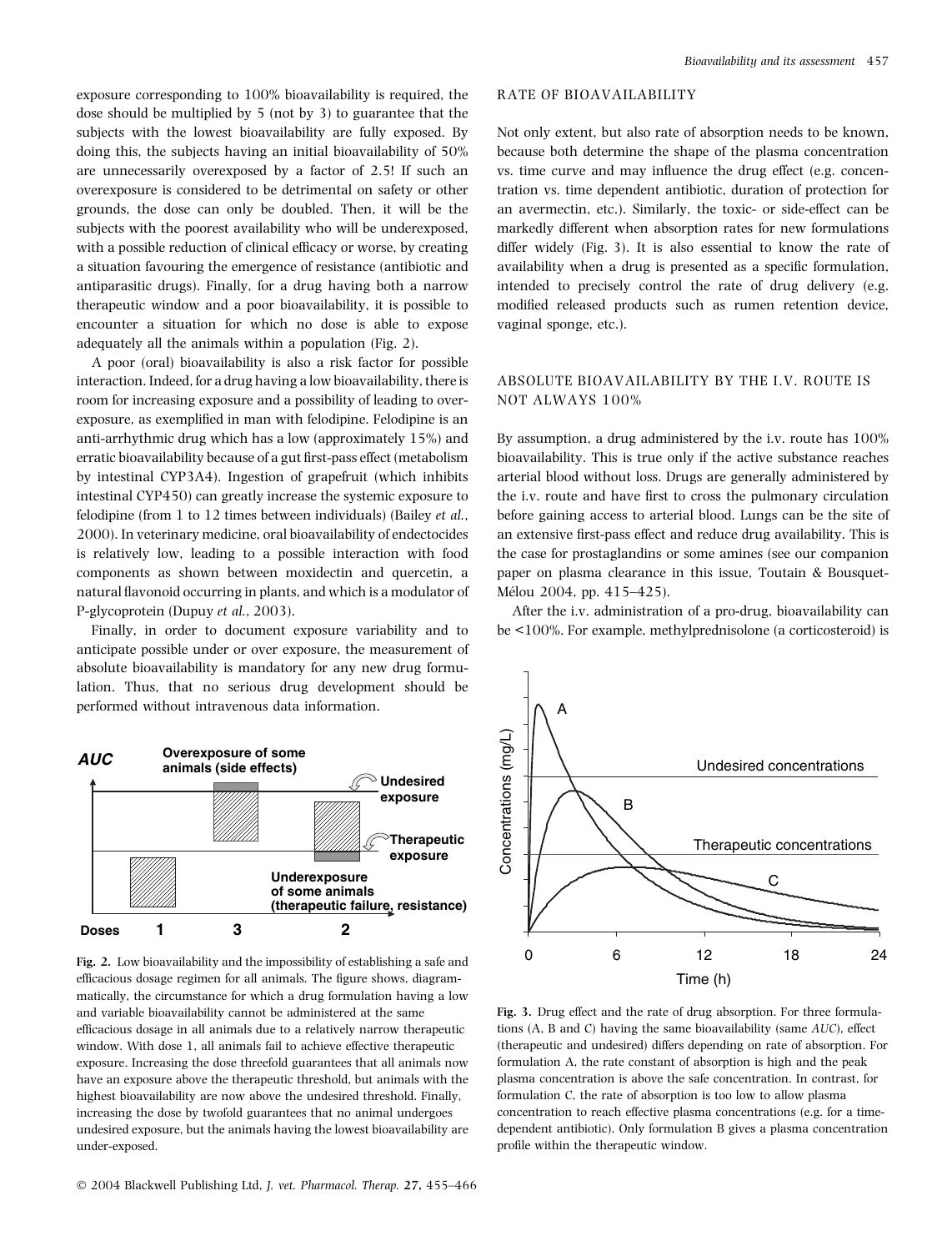exposure corresponding to 100% bioavailability is required, the dose should be multiplied by 5 (not by 3) to guarantee that the subjects with the lowest bioavailability are fully exposed. By doing this, the subjects having an initial bioavailability of 50% are unnecessarily overexposed by a factor of 2.5! If such an overexposure is considered to be detrimental on safety or other grounds, the dose can only be doubled. Then, it will be the subjects with the poorest availability who will be underexposed, with a possible reduction of clinical efficacy or worse, by creating a situation favouring the emergence of resistance (antibiotic and antiparasitic drugs). Finally, for a drug having both a narrow therapeutic window and a poor bioavailability, it is possible to encounter a situation for which no dose is able to expose adequately all the animals within a population (Fig. 2).

A poor (oral) bioavailability is also a risk factor for possible interaction. Indeed, for a drug having a low bioavailability, there is room for increasing exposure and a possibility of leading to overexposure, as exemplified in man with felodipine. Felodipine is an anti-arrhythmic drug which has a low (approximately 15%) and erratic bioavailability because of a gut first-pass effect (metabolism by intestinal CYP3A4). Ingestion of grapefruit (which inhibits intestinal CYP450) can greatly increase the systemic exposure to felodipine (from 1 to 12 times between individuals) (Bailey et al., 2000). In veterinary medicine, oral bioavailability of endectocides is relatively low, leading to a possible interaction with food components as shown between moxidectin and quercetin, a natural flavonoid occurring in plants, and which is a modulator of P-glycoprotein (Dupuy et al., 2003).

Finally, in order to document exposure variability and to anticipate possible under or over exposure, the measurement of absolute bioavailability is mandatory for any new drug formulation. Thus, that no serious drug development should be performed without intravenous data information.



Fig. 2. Low bioavailability and the impossibility of establishing a safe and efficacious dosage regimen for all animals. The figure shows, diagrammatically, the circumstance for which a drug formulation having a low and variable bioavailability cannot be administered at the same efficacious dosage in all animals due to a relatively narrow therapeutic window. With dose 1, all animals fail to achieve effective therapeutic exposure. Increasing the dose threefold guarantees that all animals now have an exposure above the therapeutic threshold, but animals with the highest bioavailability are now above the undesired threshold. Finally, increasing the dose by twofold guarantees that no animal undergoes undesired exposure, but the animals having the lowest bioavailability are under-exposed.

#### RATE OF BIOAVAILABILITY

Not only extent, but also rate of absorption needs to be known, because both determine the shape of the plasma concentration vs. time curve and may influence the drug effect (e.g. concentration vs. time dependent antibiotic, duration of protection for an avermectin, etc.). Similarly, the toxic- or side-effect can be markedly different when absorption rates for new formulations differ widely (Fig. 3). It is also essential to know the rate of availability when a drug is presented as a specific formulation, intended to precisely control the rate of drug delivery (e.g. modified released products such as rumen retention device, vaginal sponge, etc.).

# ABSOLUTE BIOAVAILABILITY BY THE I.V. ROUTE IS NOT ALWAYS 100%

By assumption, a drug administered by the i.v. route has 100% bioavailability. This is true only if the active substance reaches arterial blood without loss. Drugs are generally administered by the i.v. route and have first to cross the pulmonary circulation before gaining access to arterial blood. Lungs can be the site of an extensive first-pass effect and reduce drug availability. This is the case for prostaglandins or some amines (see our companion paper on plasma clearance in this issue, Toutain & Bousquet-Mélou 2004, pp. 415–425).

After the i.v. administration of a pro-drug, bioavailability can be <100%. For example, methylprednisolone (a corticosteroid) is



Fig. 3. Drug effect and the rate of drug absorption. For three formulations (A, B and C) having the same bioavailability (same AUC), effect (therapeutic and undesired) differs depending on rate of absorption. For formulation A, the rate constant of absorption is high and the peak plasma concentration is above the safe concentration. In contrast, for formulation C, the rate of absorption is too low to allow plasma concentration to reach effective plasma concentrations (e.g. for a timedependent antibiotic). Only formulation B gives a plasma concentration profile within the therapeutic window.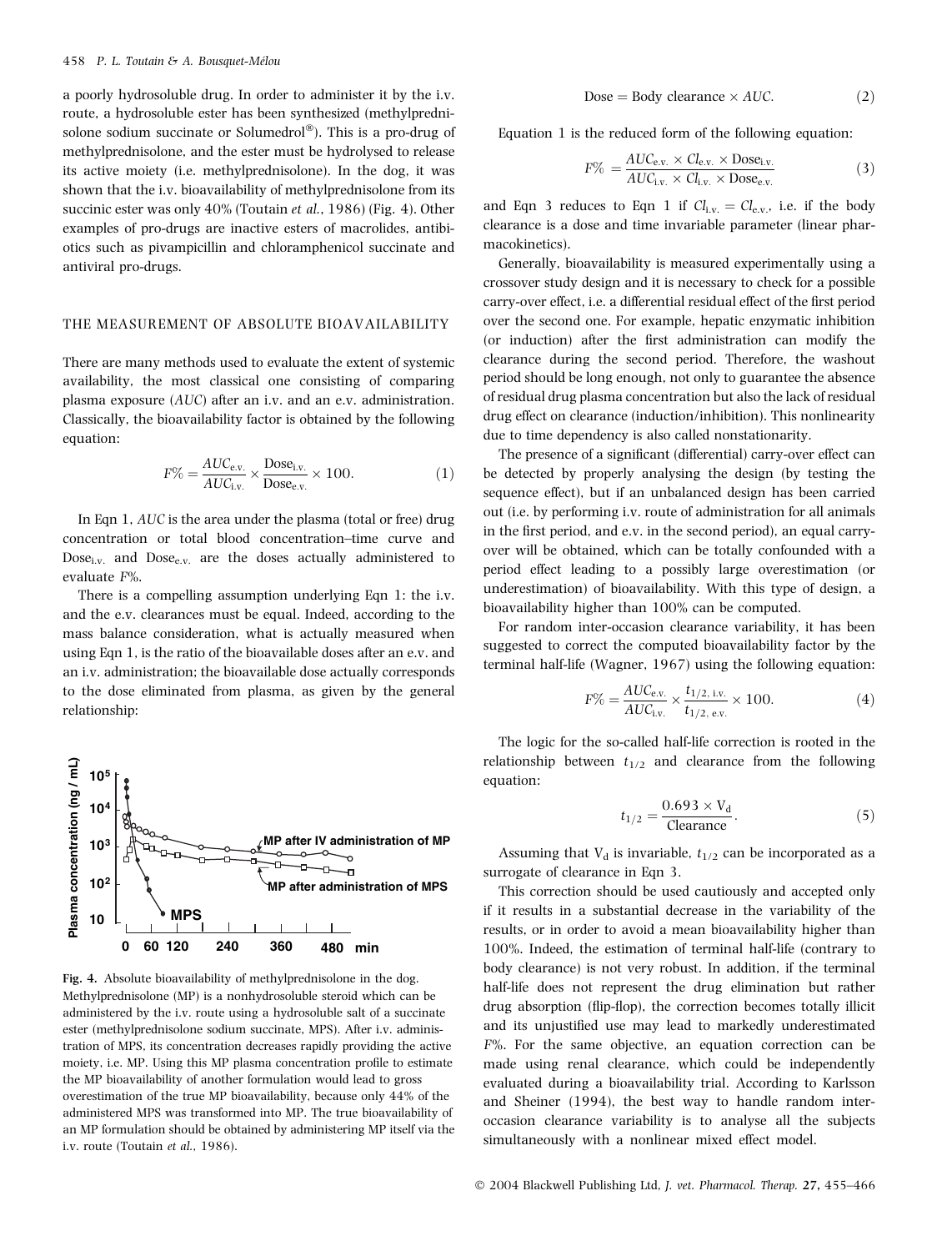a poorly hydrosoluble drug. In order to administer it by the i.v. route, a hydrosoluble ester has been synthesized (methylprednisolone sodium succinate or Solumedrol®). This is a pro-drug of methylprednisolone, and the ester must be hydrolysed to release its active moiety (i.e. methylprednisolone). In the dog, it was shown that the i.v. bioavailability of methylprednisolone from its succinic ester was only 40% (Toutain et al., 1986) (Fig. 4). Other examples of pro-drugs are inactive esters of macrolides, antibiotics such as pivampicillin and chloramphenicol succinate and antiviral pro-drugs.

#### THE MEASUREMENT OF ABSOLUTE BIOAVAILABILITY

There are many methods used to evaluate the extent of systemic availability, the most classical one consisting of comparing plasma exposure (AUC) after an i.v. and an e.v. administration. Classically, the bioavailability factor is obtained by the following equation:

$$
F\% = \frac{AUC_{\text{e.v.}}}{AUC_{\text{i.v.}}} \times \frac{\text{Dose}_{\text{i.v.}}}{\text{Dose}_{\text{e.v.}}} \times 100. \tag{1}
$$

In Eqn 1, AUC is the area under the plasma (total or free) drug concentration or total blood concentration–time curve and  $Dose_{i.v.}$  and  $Dose_{e.v.}$  are the doses actually administered to evaluate F%.

There is a compelling assumption underlying Eqn 1: the i.v. and the e.v. clearances must be equal. Indeed, according to the mass balance consideration, what is actually measured when using Eqn 1, is the ratio of the bioavailable doses after an e.v. and an i.v. administration; the bioavailable dose actually corresponds to the dose eliminated from plasma, as given by the general relationship:



Fig. 4. Absolute bioavailability of methylprednisolone in the dog. Methylprednisolone (MP) is a nonhydrosoluble steroid which can be administered by the i.v. route using a hydrosoluble salt of a succinate ester (methylprednisolone sodium succinate, MPS). After i.v. administration of MPS, its concentration decreases rapidly providing the active moiety, i.e. MP. Using this MP plasma concentration profile to estimate the MP bioavailability of another formulation would lead to gross overestimation of the true MP bioavailability, because only 44% of the administered MPS was transformed into MP. The true bioavailability of an MP formulation should be obtained by administering MP itself via the i.v. route (Toutain et al., 1986).

$$
Dose = Body clearance \times AUC.
$$
 (2)

Equation 1 is the reduced form of the following equation:

$$
F\% = \frac{AUC_{\text{e.v.}} \times Cl_{\text{e.v.}} \times \text{Dose}_{\text{i.v.}}}{AUC_{\text{i.v.}} \times Cl_{\text{i.v.}} \times \text{Dose}_{\text{e.v.}}} \tag{3}
$$

and Eqn 3 reduces to Eqn 1 if  $Cl_{i.v.} = Cl_{e.v.}$ , i.e. if the body clearance is a dose and time invariable parameter (linear pharmacokinetics).

Generally, bioavailability is measured experimentally using a crossover study design and it is necessary to check for a possible carry-over effect, i.e. a differential residual effect of the first period over the second one. For example, hepatic enzymatic inhibition (or induction) after the first administration can modify the clearance during the second period. Therefore, the washout period should be long enough, not only to guarantee the absence of residual drug plasma concentration but also the lack of residual drug effect on clearance (induction/inhibition). This nonlinearity due to time dependency is also called nonstationarity.

The presence of a significant (differential) carry-over effect can be detected by properly analysing the design (by testing the sequence effect), but if an unbalanced design has been carried out (i.e. by performing i.v. route of administration for all animals in the first period, and e.v. in the second period), an equal carryover will be obtained, which can be totally confounded with a period effect leading to a possibly large overestimation (or underestimation) of bioavailability. With this type of design, a bioavailability higher than 100% can be computed.

For random inter-occasion clearance variability, it has been suggested to correct the computed bioavailability factor by the terminal half-life (Wagner, 1967) using the following equation:

$$
F\% = \frac{AUC_{\text{e.v.}}}{AUC_{\text{i.v.}}} \times \frac{t_{1/2, \text{ i.v.}}}{t_{1/2, \text{ e.v.}}} \times 100. \tag{4}
$$

The logic for the so-called half-life correction is rooted in the relationship between  $t_{1/2}$  and clearance from the following equation:

$$
t_{1/2} = \frac{0.693 \times V_d}{\text{Clearance}}.\tag{5}
$$

Assuming that  $V_d$  is invariable,  $t_{1/2}$  can be incorporated as a surrogate of clearance in Eqn 3.

This correction should be used cautiously and accepted only if it results in a substantial decrease in the variability of the results, or in order to avoid a mean bioavailability higher than 100%. Indeed, the estimation of terminal half-life (contrary to body clearance) is not very robust. In addition, if the terminal half-life does not represent the drug elimination but rather drug absorption (flip-flop), the correction becomes totally illicit and its unjustified use may lead to markedly underestimated F%. For the same objective, an equation correction can be made using renal clearance, which could be independently evaluated during a bioavailability trial. According to Karlsson and Sheiner (1994), the best way to handle random interoccasion clearance variability is to analyse all the subjects simultaneously with a nonlinear mixed effect model.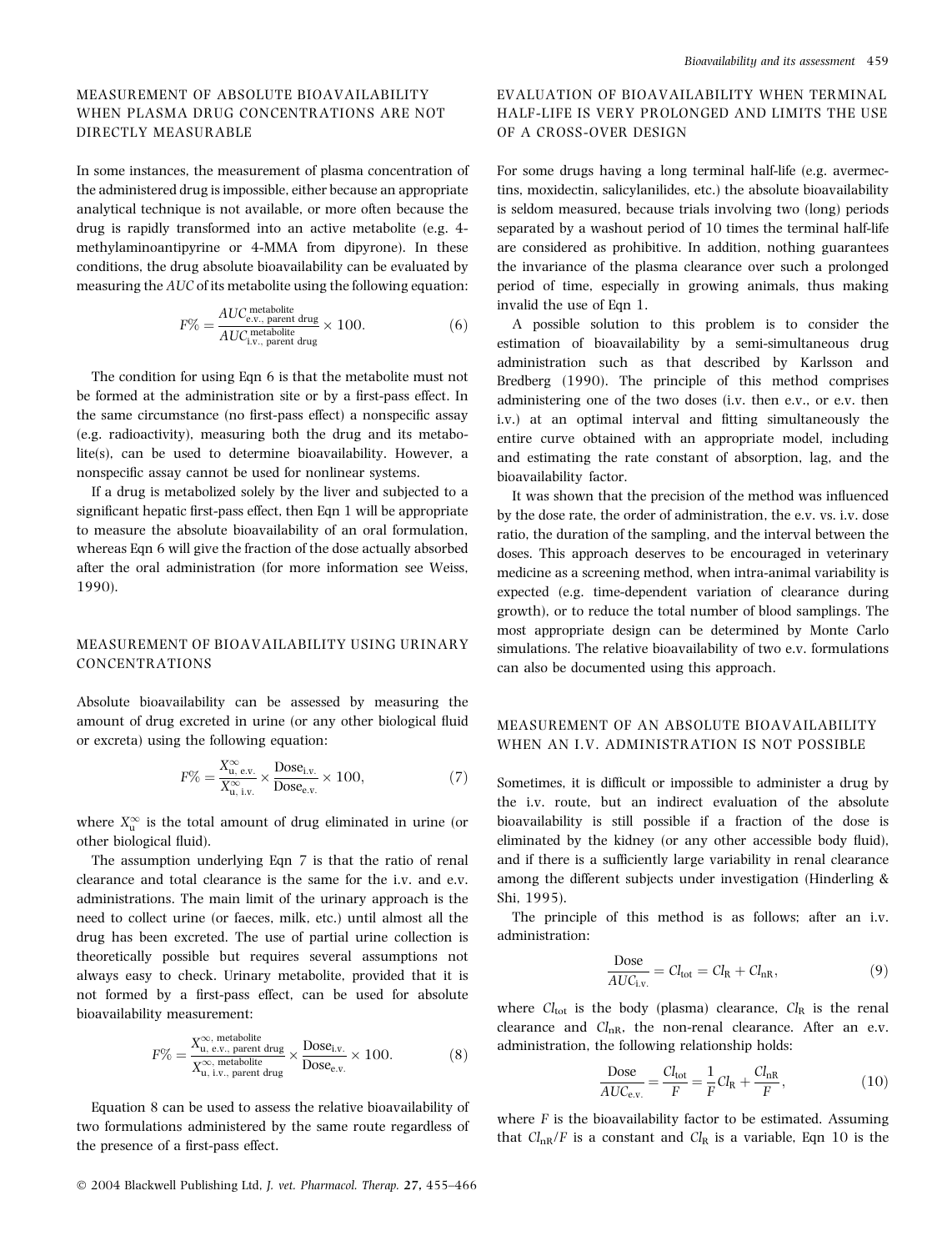# MEASUREMENT OF ABSOLUTE BIOAVAILABILITY WHEN PLASMA DRUG CONCENTRATIONS ARE NOT DIRECTLY MEASURABLE

In some instances, the measurement of plasma concentration of the administered drug is impossible, either because an appropriate analytical technique is not available, or more often because the drug is rapidly transformed into an active metabolite (e.g. 4 methylaminoantipyrine or 4-MMA from dipyrone). In these conditions, the drug absolute bioavailability can be evaluated by measuring the AUC of its metabolite using the following equation:

$$
F\% = \frac{AUC_{\text{e.v., parent drug}}}{AUC_{\text{iv., parent drug}} \times 100.}
$$
 (6)

The condition for using Eqn 6 is that the metabolite must not be formed at the administration site or by a first-pass effect. In the same circumstance (no first-pass effect) a nonspecific assay (e.g. radioactivity), measuring both the drug and its metabolite(s), can be used to determine bioavailability. However, a nonspecific assay cannot be used for nonlinear systems.

If a drug is metabolized solely by the liver and subjected to a significant hepatic first-pass effect, then Eqn 1 will be appropriate to measure the absolute bioavailability of an oral formulation, whereas Eqn 6 will give the fraction of the dose actually absorbed after the oral administration (for more information see Weiss, 1990).

# MEASUREMENT OF BIOAVAILABILITY USING URINARY CONCENTRATIONS

Absolute bioavailability can be assessed by measuring the amount of drug excreted in urine (or any other biological fluid or excreta) using the following equation:

$$
F\% = \frac{X_{\text{u, e.v.}}^{\infty}}{X_{\text{u, i.v.}}^{\infty}} \times \frac{\text{Dose}_{\text{i.v.}}}{\text{Dose}_{\text{e.v.}}} \times 100,\tag{7}
$$

where  $X_u^{\infty}$  is the total amount of drug eliminated in urine (or other biological fluid).

The assumption underlying Eqn 7 is that the ratio of renal clearance and total clearance is the same for the i.v. and e.v. administrations. The main limit of the urinary approach is the need to collect urine (or faeces, milk, etc.) until almost all the drug has been excreted. The use of partial urine collection is theoretically possible but requires several assumptions not always easy to check. Urinary metabolite, provided that it is not formed by a first-pass effect, can be used for absolute bioavailability measurement:

$$
F\% = \frac{X_{\text{u, e.v., parent drug}}^{\infty, \text{ metabolic}}}{X_{\text{u, i.v., parent drug}}^{\infty, \text{ metabolic}}} \times \frac{\text{Dose}_{\text{i.v.}}}{\text{Dose}_{\text{e.v.}}} \times 100. \tag{8}
$$

Equation 8 can be used to assess the relative bioavailability of two formulations administered by the same route regardless of the presence of a first-pass effect.

# EVALUATION OF BIOAVAILABILITY WHEN TERMINAL HALF-LIFE IS VERY PROLONGED AND LIMITS THE USE OF A CROSS-OVER DESIGN

For some drugs having a long terminal half-life (e.g. avermectins, moxidectin, salicylanilides, etc.) the absolute bioavailability is seldom measured, because trials involving two (long) periods separated by a washout period of 10 times the terminal half-life are considered as prohibitive. In addition, nothing guarantees the invariance of the plasma clearance over such a prolonged period of time, especially in growing animals, thus making invalid the use of Eqn 1.

A possible solution to this problem is to consider the estimation of bioavailability by a semi-simultaneous drug administration such as that described by Karlsson and Bredberg (1990). The principle of this method comprises administering one of the two doses (i.v. then e.v., or e.v. then i.v.) at an optimal interval and fitting simultaneously the entire curve obtained with an appropriate model, including and estimating the rate constant of absorption, lag, and the bioavailability factor.

It was shown that the precision of the method was influenced by the dose rate, the order of administration, the e.v. vs. i.v. dose ratio, the duration of the sampling, and the interval between the doses. This approach deserves to be encouraged in veterinary medicine as a screening method, when intra-animal variability is expected (e.g. time-dependent variation of clearance during growth), or to reduce the total number of blood samplings. The most appropriate design can be determined by Monte Carlo simulations. The relative bioavailability of two e.v. formulations can also be documented using this approach.

# MEASUREMENT OF AN ABSOLUTE BIOAVAILABILITY WHEN AN I.V. ADMINISTRATION IS NOT POSSIBLE

Sometimes, it is difficult or impossible to administer a drug by the i.v. route, but an indirect evaluation of the absolute bioavailability is still possible if a fraction of the dose is eliminated by the kidney (or any other accessible body fluid), and if there is a sufficiently large variability in renal clearance among the different subjects under investigation (Hinderling & Shi, 1995).

The principle of this method is as follows; after an i.v. administration:

$$
\frac{\text{Dose}}{\text{AUC}_{i.v.}} = Cl_{\text{tot}} = Cl_{\text{R}} + Cl_{\text{nR}},\tag{9}
$$

where  $Cl_{\text{tot}}$  is the body (plasma) clearance,  $Cl_{\text{R}}$  is the renal clearance and  $Cl_{nR}$ , the non-renal clearance. After an e.v. administration, the following relationship holds:

$$
\frac{\text{Dose}}{AUC_{e.v.}} = \frac{Cl_{\text{tot}}}{F} = \frac{1}{F}Cl_{R} + \frac{Cl_{nR}}{F},\tag{10}
$$

where  $F$  is the bioavailability factor to be estimated. Assuming that  $Cl_{nR}/F$  is a constant and  $Cl_{R}$  is a variable, Eqn 10 is the

2004 Blackwell Publishing Ltd, J. vet. Pharmacol. Therap. 27, 455–466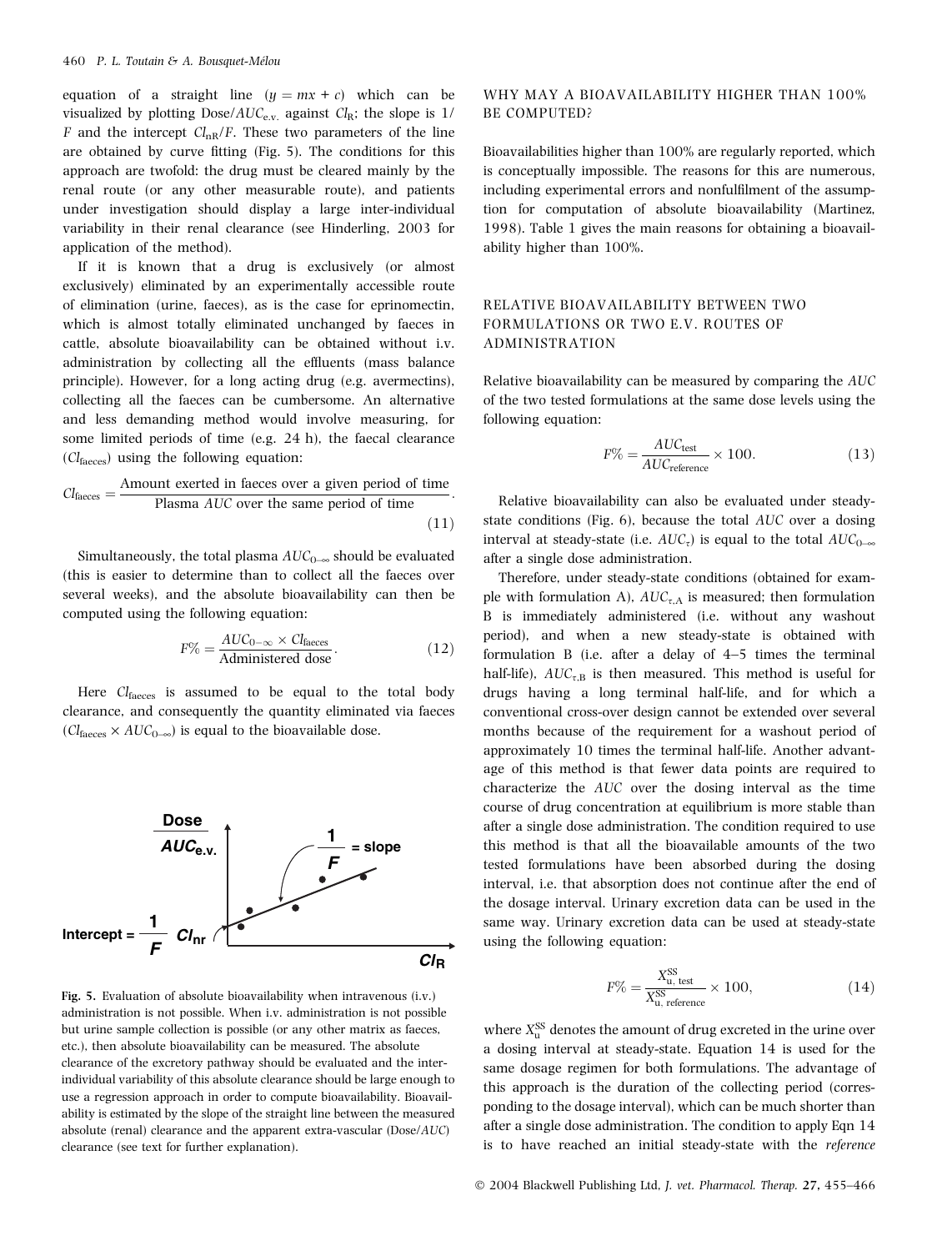equation of a straight line  $(y = mx + c)$  which can be visualized by plotting Dose/ $AUC_{e.v.}$  against  $Cl_R$ ; the slope is 1/ F and the intercept  $Cl_{nR}/F$ . These two parameters of the line are obtained by curve fitting (Fig. 5). The conditions for this approach are twofold: the drug must be cleared mainly by the renal route (or any other measurable route), and patients under investigation should display a large inter-individual variability in their renal clearance (see Hinderling, 2003 for application of the method).

If it is known that a drug is exclusively (or almost exclusively) eliminated by an experimentally accessible route of elimination (urine, faeces), as is the case for eprinomectin, which is almost totally eliminated unchanged by faeces in cattle, absolute bioavailability can be obtained without i.v. administration by collecting all the effluents (mass balance principle). However, for a long acting drug (e.g. avermectins), collecting all the faeces can be cumbersome. An alternative and less demanding method would involve measuring, for some limited periods of time (e.g. 24 h), the faecal clearance (Clfaeces) using the following equation:

$$
Clfaces = \frac{Amount exerted in faces over a given period of time}{Plasma AUC over the same period of time}
$$
\n(11)

Simultaneously, the total plasma  $AUC_{0-\infty}$  should be evaluated (this is easier to determine than to collect all the faeces over several weeks), and the absolute bioavailability can then be computed using the following equation:

$$
F\% = \frac{AUC_{0-\infty} \times Cl_{\text{faces}}}{\text{Administered dose}}.
$$
 (12)

Here  $Cl<sub>faces</sub>$  is assumed to be equal to the total body clearance, and consequently the quantity eliminated via faeces  $(Cl_{faces} \times AUC_{0-\infty})$  is equal to the bioavailable dose.



Fig. 5. Evaluation of absolute bioavailability when intravenous (i.v.) administration is not possible. When i.v. administration is not possible but urine sample collection is possible (or any other matrix as faeces, etc.), then absolute bioavailability can be measured. The absolute clearance of the excretory pathway should be evaluated and the interindividual variability of this absolute clearance should be large enough to use a regression approach in order to compute bioavailability. Bioavailability is estimated by the slope of the straight line between the measured absolute (renal) clearance and the apparent extra-vascular (Dose/AUC) clearance (see text for further explanation).

# WHY MAY A BIOAVAILABILITY HIGHER THAN 100% BE COMPUTED?

Bioavailabilities higher than 100% are regularly reported, which is conceptually impossible. The reasons for this are numerous, including experimental errors and nonfulfilment of the assumption for computation of absolute bioavailability (Martinez, 1998). Table 1 gives the main reasons for obtaining a bioavailability higher than 100%.

# RELATIVE BIOAVAILABILITY BETWEEN TWO FORMULATIONS OR TWO E.V. ROUTES OF ADMINISTRATION

Relative bioavailability can be measured by comparing the AUC of the two tested formulations at the same dose levels using the following equation:

$$
F\% = \frac{AUC_{\text{test}}}{AUC_{\text{reference}}} \times 100. \tag{13}
$$

Relative bioavailability can also be evaluated under steadystate conditions (Fig. 6), because the total AUC over a dosing interval at steady-state (i.e.  $AUC_{\tau}$ ) is equal to the total  $AUC_{0-\infty}$ after a single dose administration.

Therefore, under steady-state conditions (obtained for example with formulation A),  $AUC_{\tau,A}$  is measured; then formulation B is immediately administered (i.e. without any washout period), and when a new steady-state is obtained with formulation B (i.e. after a delay of 4–5 times the terminal half-life),  $AUC_{\tau,B}$  is then measured. This method is useful for drugs having a long terminal half-life, and for which a conventional cross-over design cannot be extended over several months because of the requirement for a washout period of approximately 10 times the terminal half-life. Another advantage of this method is that fewer data points are required to characterize the AUC over the dosing interval as the time course of drug concentration at equilibrium is more stable than after a single dose administration. The condition required to use this method is that all the bioavailable amounts of the two tested formulations have been absorbed during the dosing interval, i.e. that absorption does not continue after the end of the dosage interval. Urinary excretion data can be used in the same way. Urinary excretion data can be used at steady-state using the following equation:

$$
F\% = \frac{X_{\text{u, test}}^{\text{SS}}}{X_{\text{u, reference}}^{\text{SS}}} \times 100,\tag{14}
$$

where  $X_{\mathrm{u}}^{\mathrm{SS}}$  denotes the amount of drug excreted in the urine over a dosing interval at steady-state. Equation 14 is used for the same dosage regimen for both formulations. The advantage of this approach is the duration of the collecting period (corresponding to the dosage interval), which can be much shorter than after a single dose administration. The condition to apply Eqn 14 is to have reached an initial steady-state with the reference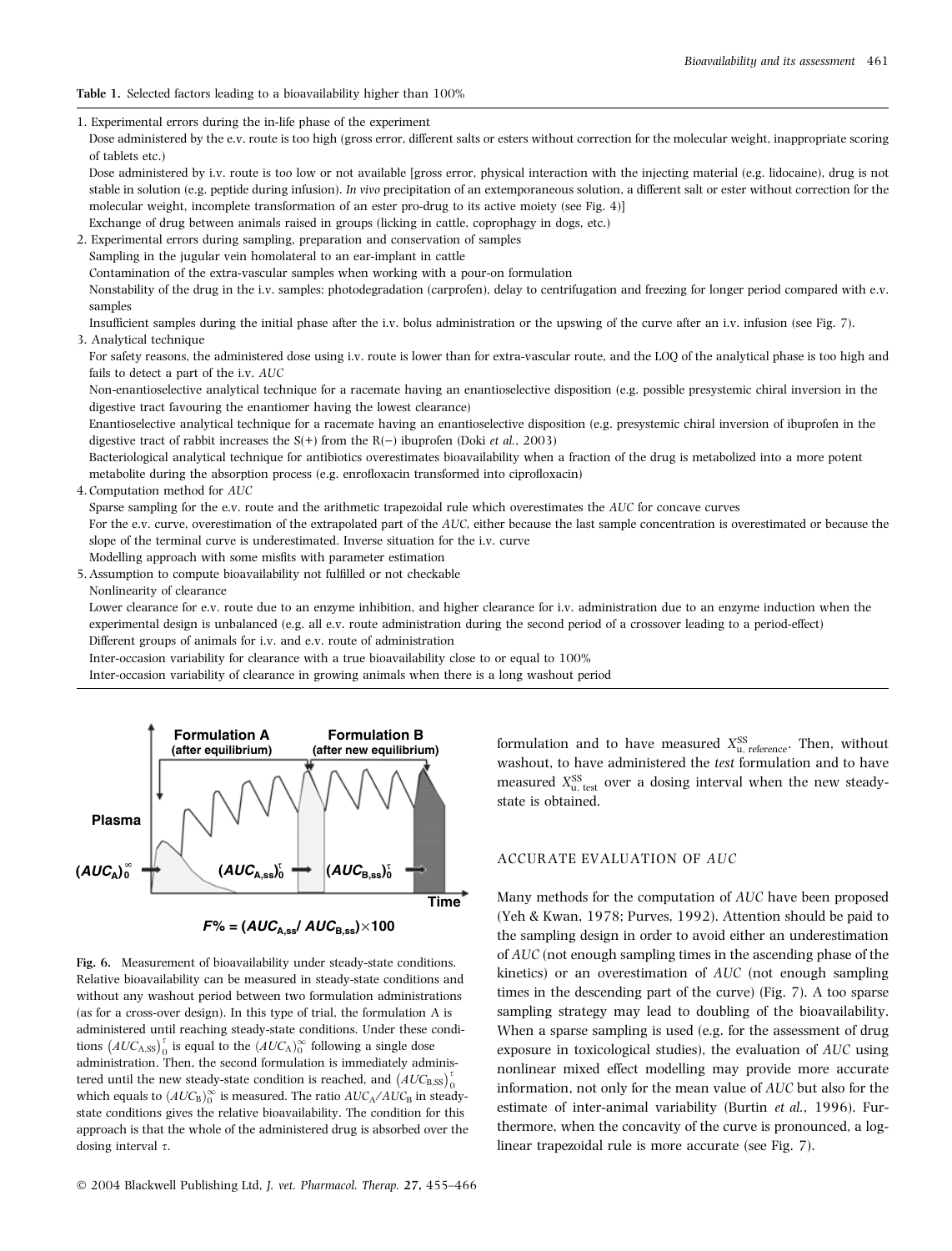#### Table 1. Selected factors leading to a bioavailability higher than 100%

1. Experimental errors during the in-life phase of the experiment

Dose administered by the e.v. route is too high (gross error, different salts or esters without correction for the molecular weight, inappropriate scoring of tablets etc.)

Dose administered by i.v. route is too low or not available [gross error, physical interaction with the injecting material (e.g. lidocaine), drug is not stable in solution (e.g. peptide during infusion). In vivo precipitation of an extemporaneous solution, a different salt or ester without correction for the molecular weight, incomplete transformation of an ester pro-drug to its active moiety (see Fig. 4)] Exchange of drug between animals raised in groups (licking in cattle, coprophagy in dogs, etc.) 2. Experimental errors during sampling, preparation and conservation of samples Sampling in the jugular vein homolateral to an ear-implant in cattle Contamination of the extra-vascular samples when working with a pour-on formulation Nonstability of the drug in the i.v. samples: photodegradation (carprofen), delay to centrifugation and freezing for longer period compared with e.v. samples Insufficient samples during the initial phase after the i.v. bolus administration or the upswing of the curve after an i.v. infusion (see Fig. 7). 3. Analytical technique For safety reasons, the administered dose using i.v. route is lower than for extra-vascular route, and the LOQ of the analytical phase is too high and fails to detect a part of the i.v. AUC Non-enantioselective analytical technique for a racemate having an enantioselective disposition (e.g. possible presystemic chiral inversion in the digestive tract favouring the enantiomer having the lowest clearance) Enantioselective analytical technique for a racemate having an enantioselective disposition (e.g. presystemic chiral inversion of ibuprofen in the digestive tract of rabbit increases the  $S(+)$  from the  $R(-)$  ibuprofen (Doki *et al.*, 2003) Bacteriological analytical technique for antibiotics overestimates bioavailability when a fraction of the drug is metabolized into a more potent metabolite during the absorption process (e.g. enrofloxacin transformed into ciprofloxacin) 4. Computation method for AUC Sparse sampling for the e.v. route and the arithmetic trapezoidal rule which overestimates the AUC for concave curves For the e.v. curve, overestimation of the extrapolated part of the AUC, either because the last sample concentration is overestimated or because the slope of the terminal curve is underestimated. Inverse situation for the i.v. curve

Modelling approach with some misfits with parameter estimation

5. Assumption to compute bioavailability not fulfilled or not checkable

Nonlinearity of clearance

Lower clearance for e.v. route due to an enzyme inhibition, and higher clearance for i.v. administration due to an enzyme induction when the experimental design is unbalanced (e.g. all e.v. route administration during the second period of a crossover leading to a period-effect) Different groups of animals for i.v. and e.v. route of administration

Inter-occasion variability for clearance with a true bioavailability close to or equal to 100%

Inter-occasion variability of clearance in growing animals when there is a long washout period



 $F% = (AUC_{A,ss}/ AUC_{B,ss}) \times 100$ 

Fig. 6. Measurement of bioavailability under steady-state conditions. Relative bioavailability can be measured in steady-state conditions and without any washout period between two formulation administrations (as for a cross-over design). In this type of trial, the formulation A is administered until reaching steady-state conditions. Under these conditions  $(AUC_{A,SS})_0^{\tau}$  is equal to the  $(AUC_A)_0^{\infty}$  following a single dose administration. Then, the second formulation is immediately administered until the new steady-state condition is reached, and  $(AUC_{B,SS})_0^{\tau}$ which equals to  $(AUC_{\rm B})^{\infty}_{0}$  is measured. The ratio  $AUC_{\rm A}/AUC_{\rm B}$  in steadystate conditions gives the relative bioavailability. The condition for this approach is that the whole of the administered drug is absorbed over the dosing interval  $\tau$ .

formulation and to have measured  $X_{\text{u, reference}}^{\text{SS}}$ . Then, without washout, to have administered the test formulation and to have measured  $X_{\text{u, test}}^{\text{SS}}$  over a dosing interval when the new steadystate is obtained.

#### ACCURATE EVALUATION OF AUC

Many methods for the computation of AUC have been proposed (Yeh & Kwan, 1978; Purves, 1992). Attention should be paid to the sampling design in order to avoid either an underestimation of AUC (not enough sampling times in the ascending phase of the kinetics) or an overestimation of AUC (not enough sampling times in the descending part of the curve) (Fig. 7). A too sparse sampling strategy may lead to doubling of the bioavailability. When a sparse sampling is used (e.g. for the assessment of drug exposure in toxicological studies), the evaluation of AUC using nonlinear mixed effect modelling may provide more accurate information, not only for the mean value of AUC but also for the estimate of inter-animal variability (Burtin et al., 1996). Furthermore, when the concavity of the curve is pronounced, a loglinear trapezoidal rule is more accurate (see Fig. 7).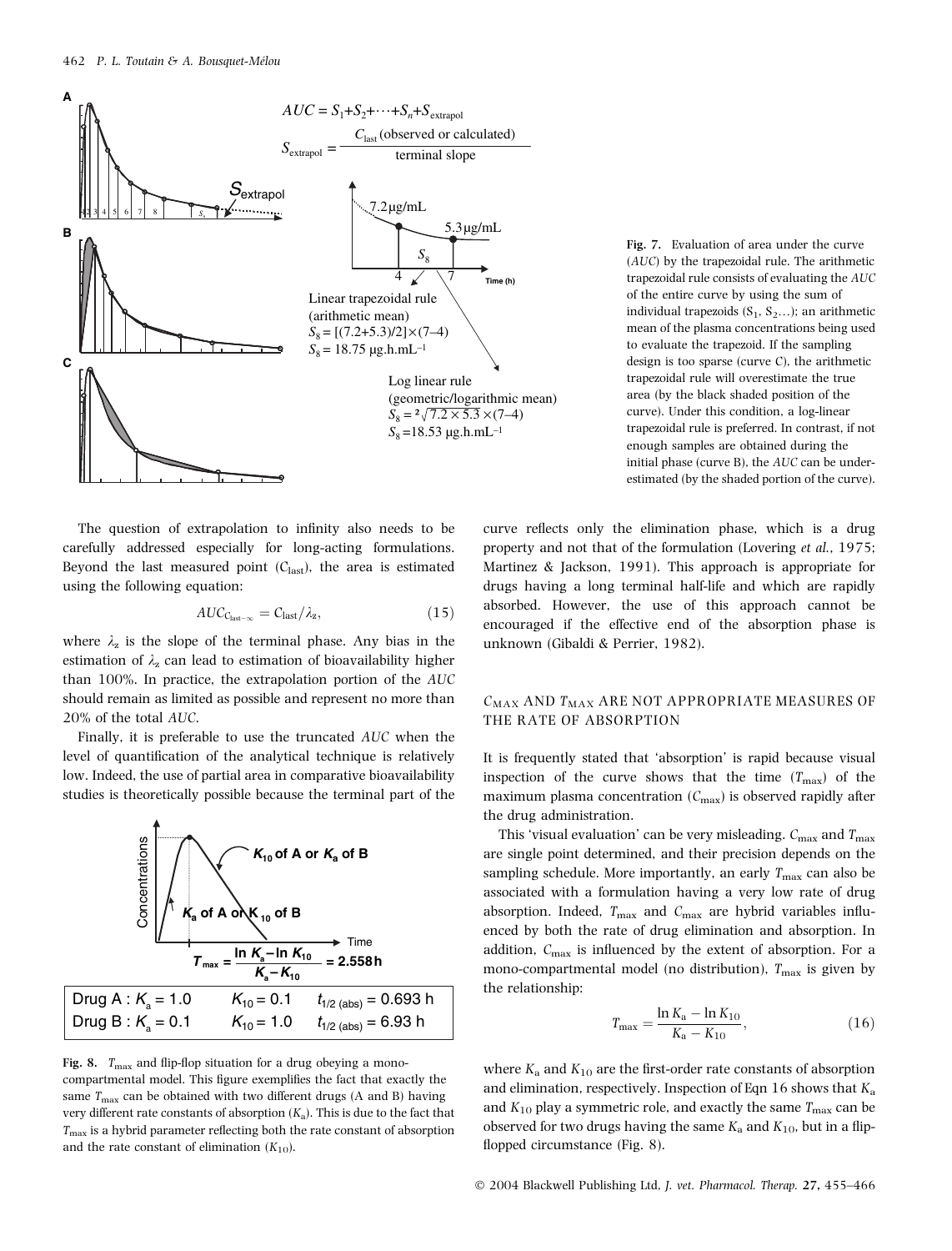

The question of extrapolation to infinity also needs to be carefully addressed especially for long-acting formulations. Beyond the last measured point  $(C_{\text{last}})$ , the area is estimated using the following equation:

$$
AUC_{C_{\text{last}-\infty}} = C_{\text{last}}/\lambda_z,\tag{15}
$$

where  $\lambda_z$  is the slope of the terminal phase. Any bias in the estimation of  $\lambda$ <sub>z</sub> can lead to estimation of bioavailability higher than 100%. In practice, the extrapolation portion of the AUC should remain as limited as possible and represent no more than 20% of the total AUC.

Finally, it is preferable to use the truncated AUC when the level of quantification of the analytical technique is relatively low. Indeed, the use of partial area in comparative bioavailability studies is theoretically possible because the terminal part of the



Fig. 8.  $T_{\text{max}}$  and flip-flop situation for a drug obeying a monocompartmental model. This figure exemplifies the fact that exactly the same  $T_{\text{max}}$  can be obtained with two different drugs (A and B) having very different rate constants of absorption  $(K_a)$ . This is due to the fact that  $T_{\text{max}}$  is a hybrid parameter reflecting both the rate constant of absorption and the rate constant of elimination  $(K_{10})$ .

Fig. 7. Evaluation of area under the curve (AUC) by the trapezoidal rule. The arithmetic trapezoidal rule consists of evaluating the AUC of the entire curve by using the sum of individual trapezoids  $(S_1, S_2...)$ ; an arithmetic mean of the plasma concentrations being used to evaluate the trapezoid. If the sampling design is too sparse (curve C), the arithmetic trapezoidal rule will overestimate the true area (by the black shaded position of the curve). Under this condition, a log-linear trapezoidal rule is preferred. In contrast, if not enough samples are obtained during the initial phase (curve B), the AUC can be underestimated (by the shaded portion of the curve).

curve reflects only the elimination phase, which is a drug property and not that of the formulation (Lovering et al., 1975; Martinez & Jackson, 1991). This approach is appropriate for drugs having a long terminal half-life and which are rapidly absorbed. However, the use of this approach cannot be encouraged if the effective end of the absorption phase is unknown (Gibaldi & Perrier, 1982).

# $C_{MAX}$  AND  $T_{MAX}$  ARE NOT APPROPRIATE MEASURES OF THE RATE OF ABSORPTION

It is frequently stated that 'absorption' is rapid because visual inspection of the curve shows that the time  $(T_{\text{max}})$  of the maximum plasma concentration  $(C_{\text{max}})$  is observed rapidly after the drug administration.

This 'visual evaluation' can be very misleading.  $C_{\text{max}}$  and  $T_{\text{max}}$ are single point determined, and their precision depends on the sampling schedule. More importantly, an early  $T_{\text{max}}$  can also be associated with a formulation having a very low rate of drug absorption. Indeed,  $T_{\text{max}}$  and  $C_{\text{max}}$  are hybrid variables influenced by both the rate of drug elimination and absorption. In addition,  $C_{\text{max}}$  is influenced by the extent of absorption. For a mono-compartmental model (no distribution),  $T_{\text{max}}$  is given by the relationship:

$$
T_{\text{max}} = \frac{\ln K_a - \ln K_{10}}{K_a - K_{10}},\tag{16}
$$

where  $K_a$  and  $K_{10}$  are the first-order rate constants of absorption and elimination, respectively. Inspection of Eqn 16 shows that  $K_a$ and  $K_{10}$  play a symmetric role, and exactly the same  $T_{\text{max}}$  can be observed for two drugs having the same  $K_a$  and  $K_{10}$ , but in a flipflopped circumstance (Fig. 8).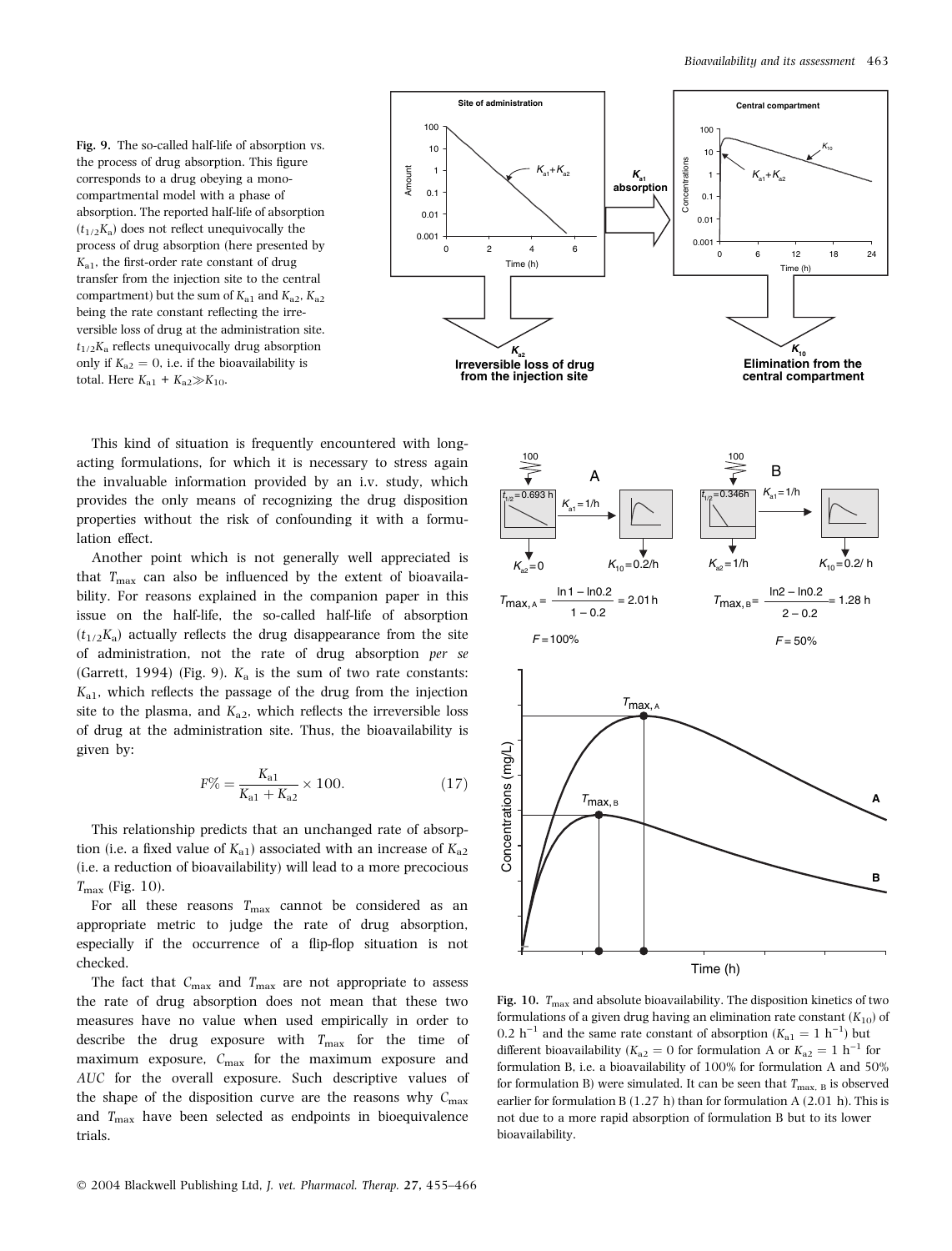Fig. 9. The so-called half-life of absorption vs. the process of drug absorption. This figure corresponds to a drug obeying a monocompartmental model with a phase of absorption. The reported half-life of absorption  $(t_{1/2}K_a)$  does not reflect unequivocally the process of drug absorption (here presented by  $K_{a1}$ , the first-order rate constant of drug transfer from the injection site to the central compartment) but the sum of  $K_{a1}$  and  $K_{a2}$ ,  $K_{a2}$ being the rate constant reflecting the irreversible loss of drug at the administration site.  $t_{1/2}K_a$  reflects unequivocally drug absorption only if  $K_{a2} = 0$ , i.e. if the bioavailability is total. Here  $K_{a1} + K_{a2} \gg K_{10}$ .



This kind of situation is frequently encountered with longacting formulations, for which it is necessary to stress again the invaluable information provided by an i.v. study, which provides the only means of recognizing the drug disposition properties without the risk of confounding it with a formulation effect.

Another point which is not generally well appreciated is that  $T_{\text{max}}$  can also be influenced by the extent of bioavailability. For reasons explained in the companion paper in this issue on the half-life, the so-called half-life of absorption  $(t_{1/2}K_a)$  actually reflects the drug disappearance from the site of administration, not the rate of drug absorption per se (Garrett, 1994) (Fig. 9).  $K_a$  is the sum of two rate constants:  $K_{a1}$ , which reflects the passage of the drug from the injection site to the plasma, and  $K_{a2}$ , which reflects the irreversible loss of drug at the administration site. Thus, the bioavailability is given by:

$$
F\% = \frac{K_{a1}}{K_{a1} + K_{a2}} \times 100. \tag{17}
$$

This relationship predicts that an unchanged rate of absorption (i.e. a fixed value of  $K_{a1}$ ) associated with an increase of  $K_{a2}$ (i.e. a reduction of bioavailability) will lead to a more precocious  $T_{\rm max}$  (Fig. 10).

For all these reasons  $T_{\text{max}}$  cannot be considered as an appropriate metric to judge the rate of drug absorption, especially if the occurrence of a flip-flop situation is not checked.

The fact that  $C_{\text{max}}$  and  $T_{\text{max}}$  are not appropriate to assess the rate of drug absorption does not mean that these two measures have no value when used empirically in order to describe the drug exposure with  $T_{\text{max}}$  for the time of maximum exposure, Cmax for the maximum exposure and AUC for the overall exposure. Such descriptive values of the shape of the disposition curve are the reasons why  $C_{\text{max}}$ and  $T_{\text{max}}$  have been selected as endpoints in bioequivalence trials.



Fig. 10.  $T_{\text{max}}$  and absolute bioavailability. The disposition kinetics of two formulations of a given drug having an elimination rate constant  $(K_{10})$  of 0.2  $h^{-1}$  and the same rate constant of absorption ( $K_{a1} = 1 h^{-1}$ ) but different bioavailability ( $K_{a2} = 0$  for formulation A or  $K_{a2} = 1$  h<sup>-1</sup> for formulation B, i.e. a bioavailability of 100% for formulation A and 50% for formulation B) were simulated. It can be seen that  $T_{\text{max}}$ , B is observed earlier for formulation B (1.27 h) than for formulation A (2.01 h). This is not due to a more rapid absorption of formulation B but to its lower bioavailability.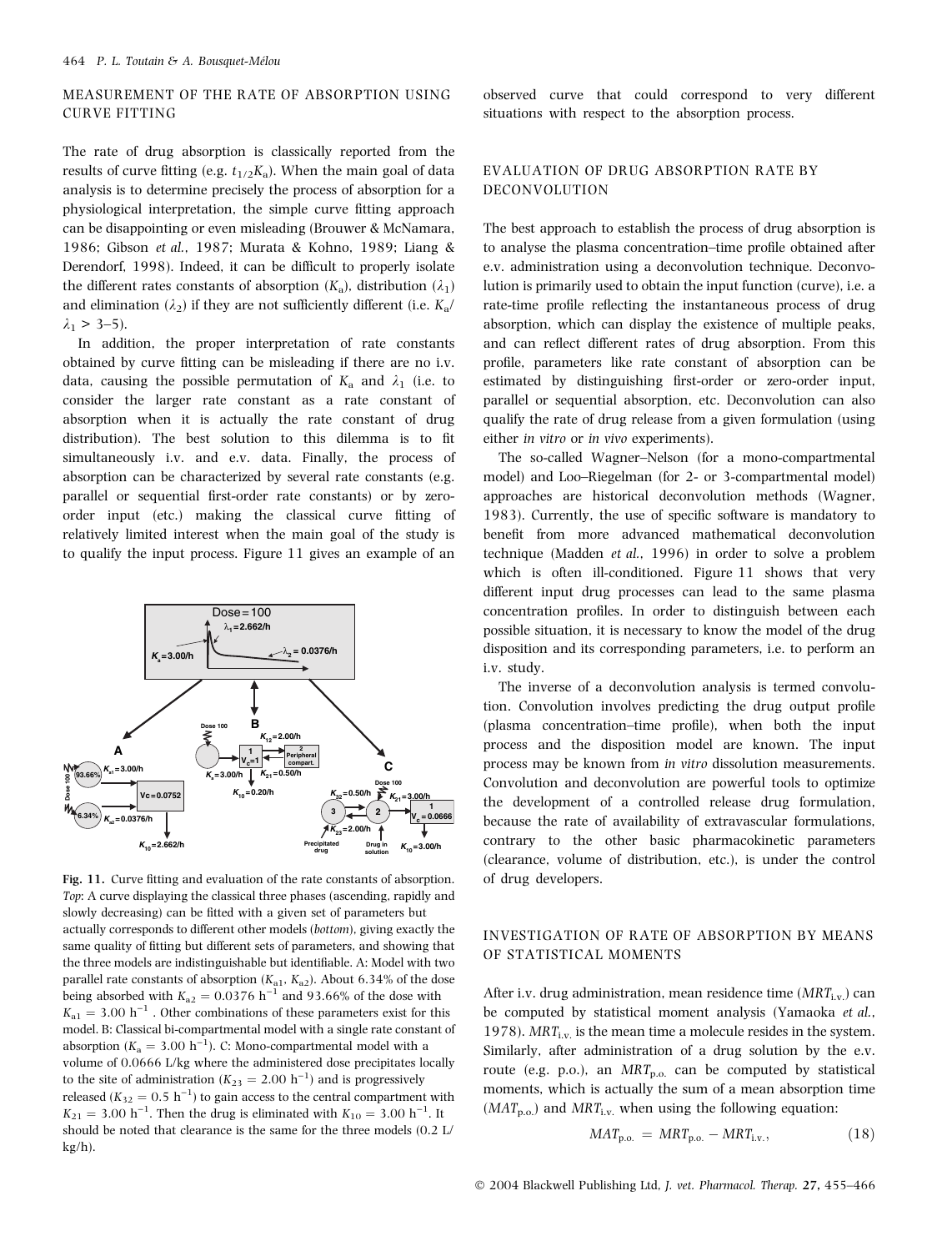## MEASUREMENT OF THE RATE OF ABSORPTION USING CURVE FITTING

The rate of drug absorption is classically reported from the results of curve fitting (e.g.  $t_{1/2}K_a$ ). When the main goal of data analysis is to determine precisely the process of absorption for a physiological interpretation, the simple curve fitting approach can be disappointing or even misleading (Brouwer & McNamara, 1986; Gibson et al., 1987; Murata & Kohno, 1989; Liang & Derendorf, 1998). Indeed, it can be difficult to properly isolate the different rates constants of absorption  $(K_a)$ , distribution  $(\lambda_1)$ and elimination  $(\lambda_2)$  if they are not sufficiently different (i.e.  $K_a/$  $\lambda_1 > 3 - 5$ ).

In addition, the proper interpretation of rate constants obtained by curve fitting can be misleading if there are no i.v. data, causing the possible permutation of  $K_a$  and  $\lambda_1$  (i.e. to consider the larger rate constant as a rate constant of absorption when it is actually the rate constant of drug distribution). The best solution to this dilemma is to fit simultaneously i.v. and e.v. data. Finally, the process of absorption can be characterized by several rate constants (e.g. parallel or sequential first-order rate constants) or by zeroorder input (etc.) making the classical curve fitting of relatively limited interest when the main goal of the study is to qualify the input process. Figure 11 gives an example of an



Fig. 11. Curve fitting and evaluation of the rate constants of absorption. Top: A curve displaying the classical three phases (ascending, rapidly and slowly decreasing) can be fitted with a given set of parameters but actually corresponds to different other models (bottom), giving exactly the same quality of fitting but different sets of parameters, and showing that the three models are indistinguishable but identifiable. A: Model with two parallel rate constants of absorption  $(K_{a1}, K_{a2})$ . About 6.34% of the dose being absorbed with  $K_{a2} = 0.0376$  h<sup>-1</sup> and 93.66% of the dose with  $K_{a1} = 3.00 \text{ h}^{-1}$ . Other combinations of these parameters exist for this model. B: Classical bi-compartmental model with a single rate constant of absorption ( $K_a = 3.00 \; h^{-1}$ ). C: Mono-compartmental model with a volume of 0.0666 L/kg where the administered dose precipitates locally to the site of administration ( $K_{23} = 2.00 \; h^{-1}$ ) and is progressively released ( $K_{32} = 0.5 \; h^{-1}$ ) to gain access to the central compartment with  $K_{21} = 3.00 \text{ h}^{-1}$ . Then the drug is eliminated with  $K_{10} = 3.00 \text{ h}^{-1}$ . It should be noted that clearance is the same for the three models (0.2 L/ kg/h).

observed curve that could correspond to very different situations with respect to the absorption process.

## EVALUATION OF DRUG ABSORPTION RATE BY DECONVOLUTION

The best approach to establish the process of drug absorption is to analyse the plasma concentration–time profile obtained after e.v. administration using a deconvolution technique. Deconvolution is primarily used to obtain the input function (curve), i.e. a rate-time profile reflecting the instantaneous process of drug absorption, which can display the existence of multiple peaks, and can reflect different rates of drug absorption. From this profile, parameters like rate constant of absorption can be estimated by distinguishing first-order or zero-order input, parallel or sequential absorption, etc. Deconvolution can also qualify the rate of drug release from a given formulation (using either in vitro or in vivo experiments).

The so-called Wagner–Nelson (for a mono-compartmental model) and Loo–Riegelman (for 2- or 3-compartmental model) approaches are historical deconvolution methods (Wagner, 1983). Currently, the use of specific software is mandatory to benefit from more advanced mathematical deconvolution technique (Madden et al., 1996) in order to solve a problem which is often ill-conditioned. Figure 11 shows that very different input drug processes can lead to the same plasma concentration profiles. In order to distinguish between each possible situation, it is necessary to know the model of the drug disposition and its corresponding parameters, i.e. to perform an i.v. study.

The inverse of a deconvolution analysis is termed convolution. Convolution involves predicting the drug output profile (plasma concentration–time profile), when both the input process and the disposition model are known. The input process may be known from in vitro dissolution measurements. Convolution and deconvolution are powerful tools to optimize the development of a controlled release drug formulation, because the rate of availability of extravascular formulations, contrary to the other basic pharmacokinetic parameters (clearance, volume of distribution, etc.), is under the control of drug developers.

# INVESTIGATION OF RATE OF ABSORPTION BY MEANS OF STATISTICAL MOMENTS

After i.v. drug administration, mean residence time  $(MRT_{i.v.})$  can be computed by statistical moment analysis (Yamaoka et al., 1978).  $MRT_{i.v.}$  is the mean time a molecule resides in the system. Similarly, after administration of a drug solution by the e.v. route (e.g. p.o.), an  $MRT_{p.o.}$  can be computed by statistical moments, which is actually the sum of a mean absorption time  $(MAT_{p,0})$  and  $MRT_{i.v.}$  when using the following equation:

$$
MAT_{p.o.} = MRT_{p.o.} - MRT_{i.v.}, \qquad (18)
$$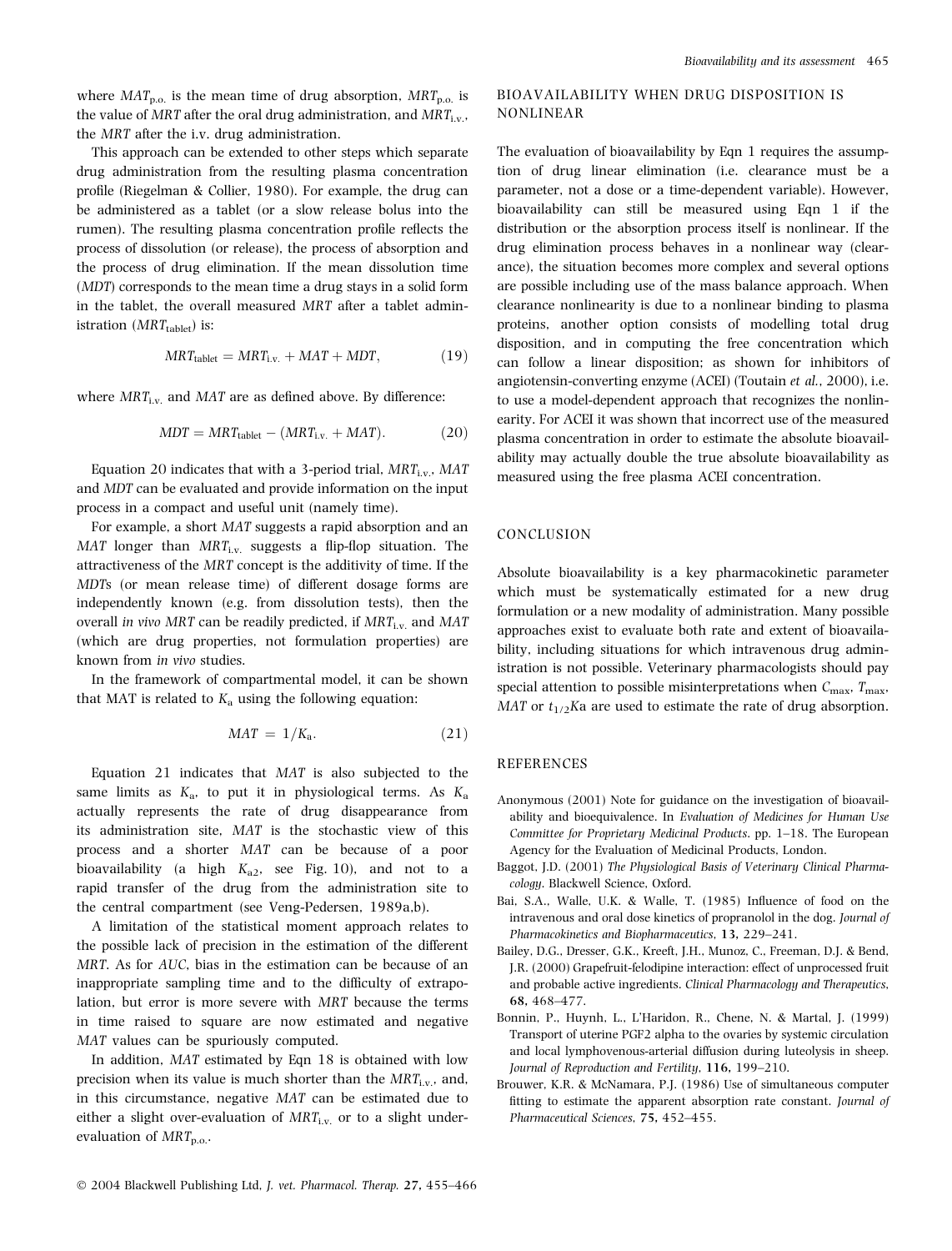where  $MAT_{p.o.}$  is the mean time of drug absorption,  $MRT_{p.o.}$  is the value of MRT after the oral drug administration, and  $MRT_{i.v.}$ , the MRT after the i.v. drug administration.

This approach can be extended to other steps which separate drug administration from the resulting plasma concentration profile (Riegelman & Collier, 1980). For example, the drug can be administered as a tablet (or a slow release bolus into the rumen). The resulting plasma concentration profile reflects the process of dissolution (or release), the process of absorption and the process of drug elimination. If the mean dissolution time (MDT) corresponds to the mean time a drug stays in a solid form in the tablet, the overall measured MRT after a tablet administration  $(MRT_{\text{table}})$  is:

$$
MRT_{\text{tablet}} = MRT_{i.v.} + MAT + MDT,\tag{19}
$$

where  $MRT_{i.v.}$  and  $MAT$  are as defined above. By difference:

$$
MDT = MRT_{\text{tablet}} - (MRT_{\text{i.v.}} + MAT). \tag{20}
$$

Equation 20 indicates that with a 3-period trial,  $MRT_{i.v.}$ ,  $MAT$ and MDT can be evaluated and provide information on the input process in a compact and useful unit (namely time).

For example, a short MAT suggests a rapid absorption and an MAT longer than  $MRT_{i.v.}$  suggests a flip-flop situation. The attractiveness of the MRT concept is the additivity of time. If the MDTs (or mean release time) of different dosage forms are independently known (e.g. from dissolution tests), then the overall in vivo MRT can be readily predicted, if  $MRT_{i.v.}$  and  $MAT$ (which are drug properties, not formulation properties) are known from in vivo studies.

In the framework of compartmental model, it can be shown that MAT is related to  $K_a$  using the following equation:

$$
MAT = 1/K_a.
$$
 (21)

Equation 21 indicates that MAT is also subjected to the same limits as  $K_a$ , to put it in physiological terms. As  $K_a$ actually represents the rate of drug disappearance from its administration site, MAT is the stochastic view of this process and a shorter MAT can be because of a poor bioavailability (a high  $K_{a2}$ , see Fig. 10), and not to a rapid transfer of the drug from the administration site to the central compartment (see Veng-Pedersen, 1989a,b).

A limitation of the statistical moment approach relates to the possible lack of precision in the estimation of the different MRT. As for AUC, bias in the estimation can be because of an inappropriate sampling time and to the difficulty of extrapolation, but error is more severe with MRT because the terms in time raised to square are now estimated and negative MAT values can be spuriously computed.

In addition, MAT estimated by Eqn 18 is obtained with low precision when its value is much shorter than the  $MRT_{i.v.}$ , and, in this circumstance, negative MAT can be estimated due to either a slight over-evaluation of  $MRT_{i.v.}$  or to a slight underevaluation of  $MRT_{p.o.}$ .

# BIOAVAILABILITY WHEN DRUG DISPOSITION IS NONLINEAR

The evaluation of bioavailability by Eqn 1 requires the assumption of drug linear elimination (i.e. clearance must be a parameter, not a dose or a time-dependent variable). However, bioavailability can still be measured using Eqn 1 if the distribution or the absorption process itself is nonlinear. If the drug elimination process behaves in a nonlinear way (clearance), the situation becomes more complex and several options are possible including use of the mass balance approach. When clearance nonlinearity is due to a nonlinear binding to plasma proteins, another option consists of modelling total drug disposition, and in computing the free concentration which can follow a linear disposition; as shown for inhibitors of angiotensin-converting enzyme (ACEI) (Toutain et al., 2000), i.e. to use a model-dependent approach that recognizes the nonlinearity. For ACEI it was shown that incorrect use of the measured plasma concentration in order to estimate the absolute bioavailability may actually double the true absolute bioavailability as measured using the free plasma ACEI concentration.

## **CONCLUSION**

Absolute bioavailability is a key pharmacokinetic parameter which must be systematically estimated for a new drug formulation or a new modality of administration. Many possible approaches exist to evaluate both rate and extent of bioavailability, including situations for which intravenous drug administration is not possible. Veterinary pharmacologists should pay special attention to possible misinterpretations when  $C_{\text{max}}$ ,  $T_{\text{max}}$ , MAT or  $t_{1/2}$ Ka are used to estimate the rate of drug absorption.

## **REFERENCES**

- Anonymous (2001) Note for guidance on the investigation of bioavailability and bioequivalence. In Evaluation of Medicines for Human Use Committee for Proprietary Medicinal Products. pp. 1–18. The European Agency for the Evaluation of Medicinal Products, London.
- Baggot, J.D. (2001) The Physiological Basis of Veterinary Clinical Pharmacology. Blackwell Science, Oxford.
- Bai, S.A., Walle, U.K. & Walle, T. (1985) Influence of food on the intravenous and oral dose kinetics of propranolol in the dog. Journal of Pharmacokinetics and Biopharmaceutics, 13, 229–241.
- Bailey, D.G., Dresser, G.K., Kreeft, J.H., Munoz, C., Freeman, D.J. & Bend, J.R. (2000) Grapefruit-felodipine interaction: effect of unprocessed fruit and probable active ingredients. Clinical Pharmacology and Therapeutics, 68, 468–477.
- Bonnin, P., Huynh, L., L'Haridon, R., Chene, N. & Martal, J. (1999) Transport of uterine PGF2 alpha to the ovaries by systemic circulation and local lymphovenous-arterial diffusion during luteolysis in sheep. Journal of Reproduction and Fertility, 116, 199–210.
- Brouwer, K.R. & McNamara, P.J. (1986) Use of simultaneous computer fitting to estimate the apparent absorption rate constant. Journal of Pharmaceutical Sciences, 75, 452–455.